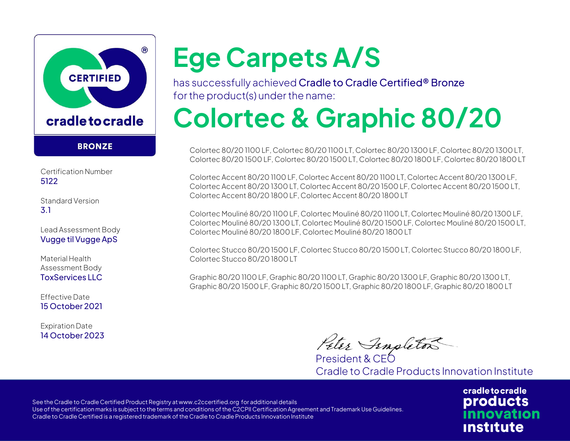

Certification Number 5122

Standard Version 3.1

Lead Assessment Body Vugge til Vugge ApS

Material Health Assessment Body ToxServices LLC

Effective Date 15 October 2021

Expiration Date 14 October 2023

## **Ege Carpets A/S**

has successfully achieved Cradle to Cradle Certified® Bronze for the product(s) under the name:

## **Colortec & Graphic 80/20**

Colortec 80/20 1100 LF, Colortec 80/20 1100 LT, Colortec 80/20 1300 LF, Colortec 80/20 1300 LT, Colortec 80/20 1500 LF, Colortec 80/20 1500 LT, Colortec 80/20 1800 LF, Colortec 80/20 1800 LT

Colortec Accent 80/20 1100 LF, Colortec Accent 80/20 1100 LT, Colortec Accent 80/20 1300 LF, Colortec Accent 80/20 1300 LT, Colortec Accent 80/20 1500 LF, Colortec Accent 80/20 1500 LT, Colortec Accent 80/20 1800 LF, Colortec Accent 80/20 1800 LT

Colortec Mouliné 80/20 1100 LF, Colortec Mouliné 80/20 1100 LT, Colortec Mouliné 80/20 1300 LF, Colortec Mouliné 80/20 1300 LT, Colortec Mouliné 80/20 1500 LF, Colortec Mouliné 80/20 1500 LT, Colortec Mouliné 80/20 1800 LF, Colortec Mouliné 80/20 1800 LT

Colortec Stucco 80/20 1500 LF, Colortec Stucco 80/20 1500 LT, Colortec Stucco 80/20 1800 LF, Colortec Stucco 80/20 1800 LT

Graphic 80/20 1100 LF, Graphic 80/20 1100 LT, Graphic 80/20 1300 LF, Graphic 80/20 1300 LT, Graphic 80/20 1500 LF, Graphic 80/20 1500 LT, Graphic 80/20 1800 LF, Graphic 80/20 1800 LT

Peter Sempleton

Cradle to Cradle Products Innovation Institute

See the Cradle to Cradle Certified Product Registry at [www.c2ccertified.org](http://www.c2ccertified.org/) for additional details Use of the certification marks is subject to the terms and conditions of the C2CPII Certification Agreement and Trademark Use Guidelines. Cradle to Cradle Certified is a registered trademark of the Cradle to Cradle Products Innovation Institute

cradle to cradle **products** <u>**Innovation**</u> **Institute**